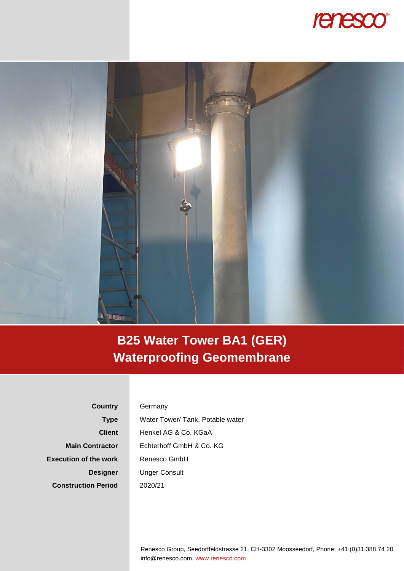



## **B25 Water Tower BA1 (GER) Waterproofing Geomembrane**

**Country Type Client Main Contractor Execution of the work Designer Construction Period**

## **Germany**

Water Tower/ Tank, Potable water Henkel AG & Co. KGaA Echterhoff GmbH & Co. KG Renesco GmbH Unger Consult 2020/21